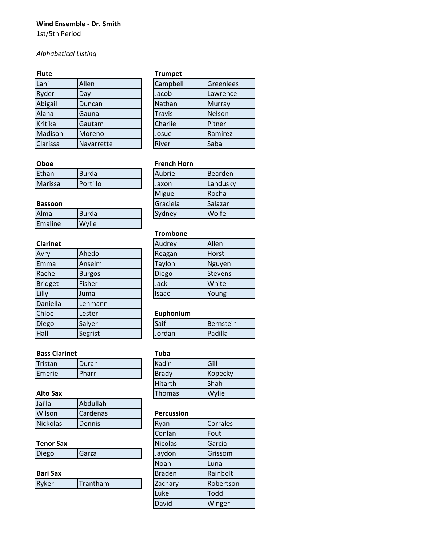#### **Wind Ensemble - Dr. Smith**

1st/5th Period

# *Alphabetical Listing*

| Lani     | Allen      | Campbell      | Greenlees     |
|----------|------------|---------------|---------------|
| Ryder    | Day        | Jacob         | Lawrence      |
| Abigail  | Duncan     | Nathan        | <b>Murray</b> |
| Alana    | Gauna      | <b>Travis</b> | Nelson        |
| Kritika  | Gautam     | Charlie       | Pitner        |
| Madison  | Moreno     | Josue         | Ramirez       |
| Clarissa | Navarrette | River         | Sabal         |

### **Flute Trumpet**

| Campbell      | Greenlees     |
|---------------|---------------|
| Jacob         | Lawrence      |
| Nathan        | <b>Murray</b> |
| <b>Travis</b> | Nelson        |
| Charlie       | Pitner        |
| Josue         | Ramirez       |
| River         | Sabal         |

| <b>UNUC</b>           |                  |               |                |  |  |
|-----------------------|------------------|---------------|----------------|--|--|
| Ethan<br><b>Burda</b> |                  | <b>Aubrie</b> | <b>Bearden</b> |  |  |
| Marissa               | <b>IPortillo</b> | IJaxon        | l Landuskv     |  |  |

#### **Bassoon**

| Almai   | <b>Burda</b> | <b>Svdnev</b> | Wolfe |
|---------|--------------|---------------|-------|
| Emaline | <b>Wylie</b> |               |       |

# **Clarinet**

| Avry           | Ahedo         | Reagan    | Horst     |
|----------------|---------------|-----------|-----------|
| Emma           | Anselm        | Taylon    | Nguyen    |
| Rachel         | <b>Burgos</b> | Diego     | Stevens   |
| <b>Bridget</b> | Fisher        | Jack      | White     |
| Lilly          | Juma          | Isaac     | Young     |
| Daniella       | Lehmann       |           |           |
| Chloe          | Lester        | Euphonium |           |
| Diego          | Salyer        | Saif      | Bernstein |
| Halli          | Segrist       | Jordan    | Padilla   |

## **Bass Clarinet Tuba**

| Tristan | <b>Duran</b> | Kadin        | Gill    |
|---------|--------------|--------------|---------|
| Emerie  | <b>Pharr</b> | <b>Brady</b> | Kopecky |

### **Alto Sax**

| Jai'la          | Abdullah          |                   |                 |
|-----------------|-------------------|-------------------|-----------------|
| Wilson          | <b>I</b> Cardenas | <b>Percussion</b> |                 |
| <b>Nickolas</b> | <b>Dennis</b>     | <b>Rvan</b>       | <b>Corrales</b> |

# **Tenor Sax**

| <b>Bari Sax</b> |  |  |
|-----------------|--|--|

| l Ryker | <b>Trantham</b> | <b>Zachary</b> | Robertson |
|---------|-----------------|----------------|-----------|
|         |                 |                |           |

### **Oboe French Horn**

| Aubrie   | Bearden  |
|----------|----------|
| Jaxon    | Landusky |
| Miguel   | Rocha    |
| Graciela | Salazar  |
| Sydney   | Wolfe    |

### **Trombone**

| Audrey | Allen          |
|--------|----------------|
| Reagan | Horst          |
| Taylon | Nguyen         |
| Diego  | <b>Stevens</b> |
| Jack   | White          |
| Isaac  | Young          |

#### Euphonium

| <b>Saif</b> | Bernstein       |
|-------------|-----------------|
| Jordan      | <b>IPadilla</b> |

| Kadin          | Gill    |
|----------------|---------|
| Brady          | Kopecky |
| <b>Hitarth</b> | Shah    |
| <b>Thomas</b>  | Wylie   |

#### **Percussion**

| <b>Nickolas</b>  | Dennis   | Ryan           | Corrales  |
|------------------|----------|----------------|-----------|
|                  |          | Conlan         | Fout      |
| <b>Tenor Sax</b> |          | <b>Nicolas</b> | Garcia    |
| Diego            | Garza    | Jaydon         | Grissom   |
|                  |          | Noah           | Luna      |
| Bari Sax         |          | <b>Braden</b>  | Rainbolt  |
| Ryker            | Trantham | Zachary        | Robertson |
|                  |          | Luke           | Todd      |
|                  |          | David          | Winger    |
|                  |          |                |           |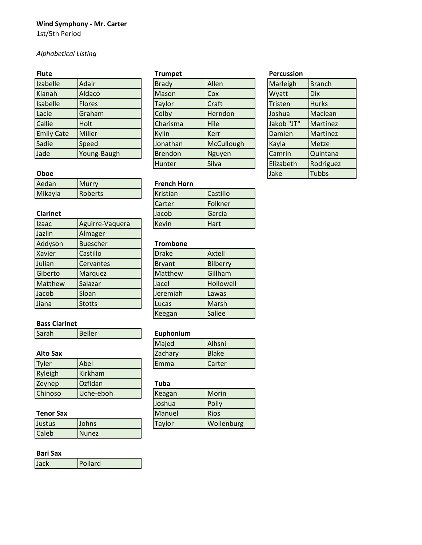# **Wind Symphony - Mr. Carter**

1st/5th Period

# *Alphabetical Listing*

| Izabelle          | Adair         | <b>Brady</b>   | Allen         | Marleigh   | <b>Branch</b> |
|-------------------|---------------|----------------|---------------|------------|---------------|
| Kianah            | Aldaco        | <b>Mason</b>   | Cox           | Wyatt      | <b>Dix</b>    |
| <b>Isabelle</b>   | <b>Flores</b> | Taylor         | Craft         | Tristen    | <b>Hurks</b>  |
| Lacie             | Graham        | Colby          | Herndon       | Joshua     | Maclean       |
| <b>Callie</b>     | Holt          | Charisma       | Hile          | Jakob "JT" | Martinez      |
| <b>Emily Cate</b> | Miller        | Kylin          | <b>Kerr</b>   | Damien     | Martinez      |
| Sadie             | Speed         | Jonathan       | McCullough    | Kayla      | <b>Metze</b>  |
| Jade              | Young-Baugh   | <b>Brendon</b> | <b>Nguyen</b> | Camrin     | Quintana      |

| <b>Brady</b>   | Allen       | Marleigh   | <b>Branch</b> |
|----------------|-------------|------------|---------------|
| Mason          | Cox         | Wyatt      | <b>Dix</b>    |
| <b>Taylor</b>  | Craft       | Tristen    | <b>Hurks</b>  |
| Colby          | Herndon     | Joshua     | Maclean       |
| Charisma       | Hile        | Jakob "JT" | Martinez      |
| Kylin          | <b>Kerr</b> | Damien     | Martinez      |
| Jonathan       | McCullough  | Kayla      | Metze         |
| <b>Brendon</b> | Nguyen      | Camrin     | Quintana      |
| Hunter         | Silva       | Elizabeth  | Rodriguez     |
|                |             |            |               |

#### **Flute Trumpet Percussion**

| .                 |               | .              |             |            |               |
|-------------------|---------------|----------------|-------------|------------|---------------|
| Izabelle          | Adair         | <b>Brady</b>   | Allen       | Marleigh   | <b>Branch</b> |
| Kianah            | Aldaco        | <b>Mason</b>   | Cox         | Wyatt      | <b>Dix</b>    |
| Isabelle          | <b>Flores</b> | Taylor         | Craft       | Tristen    | <b>Hurks</b>  |
| Lacie             | Graham        | Colby          | Herndon     | Joshua     | Maclean       |
| Callie            | Holt          | Charisma       | <b>Hile</b> | Jakob "JT" | Martinez      |
| <b>Emily Cate</b> | Miller        | Kylin          | <b>Kerr</b> | Damien     | Martinez      |
| Sadie             | Speed         | Jonathan       | McCullough  | Kayla      | <b>Metze</b>  |
| Jade              | Young-Baugh   | <b>Brendon</b> | Nguyen      | Camrin     | Quintana      |
|                   |               | Hunter         | Silva       | Elizabeth  | Rodriguez     |
| Oboe              |               |                |             | Jake       | <b>Tubbs</b>  |

| Aedan   | <b>IMurry</b> | <b>French Horn</b> |                 |
|---------|---------------|--------------------|-----------------|
| Mikayla | Roberts       | <b>Kristian</b>    | <b>Castillo</b> |

### **Clarinet**

| Izaac         | Aguirre-Vaquera | Kevin           | Hart      |
|---------------|-----------------|-----------------|-----------|
| Jazlin        | Almager         |                 |           |
| Addyson       | <b>Buescher</b> | <b>Trombone</b> |           |
| <b>Xavier</b> | Castillo        | <b>Drake</b>    | Axtell    |
| Julian        | Cervantes       | <b>Bryant</b>   | Bilberry  |
| Giberto       | Marquez         | Matthew         | Gillham   |
| Matthew       | Salazar         | Jacel           | Hollowell |
| Jacob         | Sloan           | Jeremiah        | Lawas     |
| Jiana         | <b>Stotts</b>   | Lucas           | Marsh     |
|               |                 |                 |           |

### **Bass Clarinet**

| Sarah | Beller |
|-------|--------|
|-------|--------|

## **Alto Sax**

| Tyler   | Abel           | <b>IEmma</b> | <b>I</b> Carter |
|---------|----------------|--------------|-----------------|
| Ryleigh | Kirkham        |              |                 |
| Zeynep  | <b>Ozfidan</b> | Tuba         |                 |
| Chinoso | Uche-eboh      | Keagan       | Morin           |

### **Tenor Sax**

| .            |              | .      | .          |
|--------------|--------------|--------|------------|
| Justus       | Johns        | Taylor | Wollenburg |
| <b>Caleb</b> | <b>Nunez</b> |        |            |

### **Bari Sax**

| Jack<br>Pollard |
|-----------------|
|-----------------|

| <b>French Horn</b> |             |
|--------------------|-------------|
| Kristian           | Castillo    |
| Carter             | Folkner     |
| Jacob              | Garcia      |
| Kevin              | <b>Hart</b> |

### **Trombone**

| <b>Drake</b>   | Axtell          |
|----------------|-----------------|
| <b>Bryant</b>  | <b>Bilberry</b> |
| <b>Matthew</b> | Gillham         |
| Jacel          | Hollowell       |
| Jeremiah       | Lawas           |
| Lucas          | Marsh           |
| Keegan         | <b>Sallee</b>   |

# Euphonium

| Majed   | Alhsni        |
|---------|---------------|
| Zachary | <b>Blake</b>  |
| Emma    | <b>Carter</b> |

# **Tuba**

| Keagan        | Morin       |
|---------------|-------------|
| Joshua        | Polly       |
| Manuel        | <b>Rios</b> |
| <b>Taylor</b> | Wollenburg  |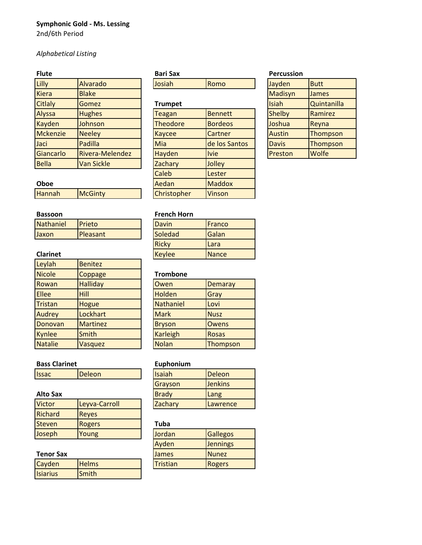# **Symphonic Gold - Ms. Lessing**

2nd/6th Period

# *Alphabetical Listing*

| Lilly           | Alvarado          | Josiah          | Romo           | Jayden        | <b>Butt</b>  |
|-----------------|-------------------|-----------------|----------------|---------------|--------------|
| <b>Kiera</b>    | <b>Blake</b>      |                 |                | Madisyn       | <b>James</b> |
| <b>Citlaly</b>  | Gomez             | <b>Trumpet</b>  |                | <b>Isiah</b>  | Quintanilla  |
| Alyssa          | <b>Hughes</b>     | Teagan          | <b>Bennett</b> | <b>Shelby</b> | Ramirez      |
| <b>Kayden</b>   | Johnson           | <b>Theodore</b> | <b>Bordeos</b> | Joshua        | Reyna        |
| <b>Mckenzie</b> | <b>Neeley</b>     | <b>Kaycee</b>   | <b>Cartner</b> | <b>Austin</b> | Thompson     |
| Jaci            | Padilla           | Mia             | de los Santos  | <b>Davis</b>  | Thompson     |
| Giancarlo       | Rivera-Melendez   | <b>Hayden</b>   | <b>Ivie</b>    | Preston       | <b>Wolfe</b> |
| <b>Bella</b>    | <b>Van Sickle</b> | Zachary         | Jolley         |               |              |
|                 |                   |                 |                |               |              |

| . <u>.</u>      | -----             |                 |                |
|-----------------|-------------------|-----------------|----------------|
| <b>Citlaly</b>  | Gomez             | <b>Trumpet</b>  |                |
| <b>Alyssa</b>   | <b>Hughes</b>     | Teagan          | <b>Bennett</b> |
| <b>Kayden</b>   | Johnson           | <b>Theodore</b> | <b>Bordeos</b> |
| <b>Mckenzie</b> | <b>Neeley</b>     | <b>Kaycee</b>   | Cartner        |
| Jaci            | Padilla           | Mia             | de los Santos  |
| Giancarlo       | Rivera-Melendez   | Hayden          | <b>Ivie</b>    |
| <b>Bella</b>    | <b>Van Sickle</b> | Zachary         | Jolley         |
|                 |                   | Caleb           | Lester         |
| Oboe            |                   | Aedan           | <b>Maddox</b>  |
| <b>Hannah</b>   | <b>McGinty</b>    | Christopher     | <b>Vinson</b>  |
|                 |                   |                 |                |

## **Fluther Bari Sax Percussion**

| Jayden        | <b>Butt</b>  |
|---------------|--------------|
| Madisyn       | <b>James</b> |
| Isiah         | Quintanilla  |
| <b>Shelby</b> | Ramirez      |
| Joshua        | Reyna        |
| <b>Austin</b> | Thompson     |
| <b>Davis</b>  | Thompson     |
| Preston       | Wolfe        |

# Hannah McGinty

| Bassoon   |               | <b>French Horn</b> |              |
|-----------|---------------|--------------------|--------------|
| Nathaniel | <b>Prieto</b> | Davin              | Franco       |
| Jaxon     | Pleasant      | Soledad            | <b>Galan</b> |
|           |               |                    |              |

### **Clarinet**

| Leylah         | <b>Benitez</b>  |                 |                |
|----------------|-----------------|-----------------|----------------|
| <b>Nicole</b>  | Coppage         | <b>Trombone</b> |                |
| Rowan          | <b>Halliday</b> | Owen            | <b>Demaray</b> |
| <b>Ellee</b>   | Hill            | Holden          | Gray           |
| Tristan        | Hogue           | Nathaniel       | Lovi           |
| Audrey         | Lockhart        | <b>Mark</b>     | <b>Nusz</b>    |
| Donovan        | <b>Martinez</b> | <b>Bryson</b>   | Owens          |
| Kynlee         | <b>Smith</b>    | Karleigh        | <b>Rosas</b>   |
| <b>Natalie</b> | Vasquez         | <b>Nolan</b>    | Thompson       |

### **Bass Clarinet Euphonium**

| <b>Issac</b><br>Deleon<br>Deleon<br><b>Ilsaiah</b> |
|----------------------------------------------------|
|----------------------------------------------------|

# **Alto Sax**

| <b>Victor</b> | Leyva-Carroll | Zachary | <b>Lawrence</b> |
|---------------|---------------|---------|-----------------|
| Richard       | Reves         |         |                 |
| <b>Steven</b> | Rogers        | Tuba    |                 |
| Joseph        | Young         | Jordan  | <b>Gallegos</b> |

### **Tenor Sax**

| Cayden          | <b>Helms</b> | Tristian | <b>Rogers</b> |
|-----------------|--------------|----------|---------------|
| <b>Isiarius</b> | <b>Smith</b> |          |               |

### **French Horn**

| Davin         | Franco       |
|---------------|--------------|
| Soledad       | Galan        |
| Ricky         | Lara         |
| <b>Keylee</b> | <b>Nance</b> |

### **Trombone**

| Owen          | <b>Demaray</b> |
|---------------|----------------|
| Holden        | Gray           |
| Nathaniel     | Lovi           |
| <b>Mark</b>   | <b>Nusz</b>    |
| <b>Bryson</b> | Owens          |
| Karleigh      | <b>Rosas</b>   |
| <b>Nolan</b>  | Thompson       |

| Isaiah       | Deleon         |
|--------------|----------------|
| Grayson      | <b>Jenkins</b> |
| <b>Brady</b> | Lang           |
| Zachary      | Lawrence       |

### **Tuba**

| Jordan       | <b>Gallegos</b> |
|--------------|-----------------|
| Ayden        | <b>Jennings</b> |
| <b>James</b> | <b>Nunez</b>    |
| Tristian     | <b>Rogers</b>   |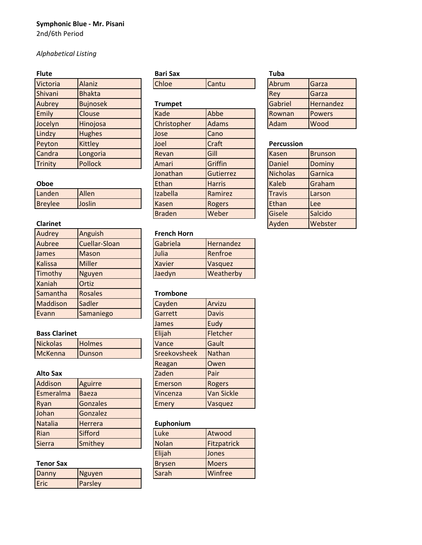# **Symphonic Blue - Mr. Pisani**

2nd/6th Period

# *Alphabetical Listing*

| Victoria       | <b>Alaniz</b>   | Chloe          | Cantu   | Abrum             | Garza         |
|----------------|-----------------|----------------|---------|-------------------|---------------|
| Shivani        | <b>Bhakta</b>   |                |         | Rey               | Garza         |
| Aubrey         | <b>Bujnosek</b> | <b>Trumpet</b> |         | Gabriel           | Hernandez     |
| Emily          | Clouse          | Kade           | Abbe    | Rownan            | <b>Powers</b> |
| Jocelyn        | Hinojosa        | Christopher    | Adams   | Adam              | Wood          |
| Lindzy         | <b>Hughes</b>   | Jose           | Cano    |                   |               |
| Peyton         | <b>Kittley</b>  | Joel           | Craft   | <b>Percussion</b> |               |
| Candra         | Longoria        | Revan          | Gill    | Kasen             | Brunson       |
| <b>Trinity</b> | Pollock         | Amari          | Griffin | Daniel            | Dominy        |
|                |                 |                |         |                   |               |

| -----          |        | ----------- | .       | ----------    | ---------- |
|----------------|--------|-------------|---------|---------------|------------|
| Landen         | Allen  | Izabella    | Ramirez | <b>Travis</b> | Larson     |
| <b>Brevlee</b> | Joslin | Kasen       | Rogers  | Ethan         | Lee        |

| Audrey         | Anguish        | <b>French Horn</b> |              |
|----------------|----------------|--------------------|--------------|
| Aubree         | Cuellar-Sloan  | Gabriela           | Hernandez    |
| James          | Mason          | Julia              | Renfroe      |
| <b>Kalissa</b> | <b>Miller</b>  | <b>Xavier</b>      | Vasquez      |
| Timothy        | <b>Nguyen</b>  | Jaedyn             | Weatherby    |
| <b>Xaniah</b>  | Ortiz          |                    |              |
| Samantha       | <b>Rosales</b> | <b>Trombone</b>    |              |
| Maddison       | Sadler         | Cayden             | Arvizu       |
| Evann          | Samaniego      | Garrett            | <b>Davis</b> |

| <b>Bass Clarinet</b> |                |  | Elijah       | <b>Fletche</b> |
|----------------------|----------------|--|--------------|----------------|
| <b>Nickolas</b>      | <b>Holmes</b>  |  | <b>Vance</b> | <b>Gault</b>   |
| McKenna              | <b>IDunson</b> |  | Sreekovsheek | <b>INathan</b> |

### **Alto Sax**

| Addison        | Aguirre        | Emerson   | Rogers            |
|----------------|----------------|-----------|-------------------|
| Esmeralma      | <b>Baeza</b>   | Vincenza  | <b>Van Sickle</b> |
| Ryan           | Gonzales       | Emery     | Vasquez           |
| Johan          | Gonzalez       |           |                   |
| <b>Natalia</b> | <b>Herrera</b> | Euphonium |                   |
| Rian           | <b>Sifford</b> | Luke      | Atwood            |
| <b>Sierra</b>  | Smithey        | Nolan     | Fitzpatrick       |

### **Tenor Sax**

| Danny | Nguyen  | Sarah | Winfree |
|-------|---------|-------|---------|
| Eric  | Parsley |       |         |

# **Flute Bari Sax Tuba**

| Emily          | Clouse         | Kade          | Abbe          | Rownan            | <b>Powers</b>  |
|----------------|----------------|---------------|---------------|-------------------|----------------|
| Jocelyn        | Hinojosa       | Christopher   | Adams         | Adam              | Wood           |
| Lindzy         | <b>Hughes</b>  | Jose          | Cano          |                   |                |
| Peyton         | <b>Kittley</b> | Joel          | <b>Craft</b>  | <b>Percussion</b> |                |
| Candra         | Longoria       | Revan         | Gill          | Kasen             | <b>Brunsor</b> |
| <b>Trinity</b> | Pollock        | Amari         | Griffin       | Daniel            | Dominy         |
|                |                | Jonathan      | Gutierrez     | <b>Nicholas</b>   | Garnica        |
| Oboe           |                | Ethan         | <b>Harris</b> | <b>Kaleb</b>      | Graham         |
| Landen         | Allen          | Izabella      | Ramirez       | <b>Travis</b>     | Larson         |
| <b>Breylee</b> | Joslin         | Kasen         | <b>Rogers</b> | Ethan             | <b>Lee</b>     |
|                |                | <b>Braden</b> | Weber         | Gisele            | Salcido        |
|                |                |               |               |                   |                |

### **French Horn**

| Gabriela      | Hernandez |
|---------------|-----------|
| Julia         | Renfroe   |
| <b>Xavier</b> | Vasquez   |
| Jaedyn        | Weatherby |

### **Trombone**

| Cayden         | Arvizu            |
|----------------|-------------------|
| Garrett        | <b>Davis</b>      |
| James          | Eudy              |
| Elijah         | Fletcher          |
| Vance          | Gault             |
| Sreekovsheek   | Nathan            |
| Reagan         | Owen              |
| Zaden          | Pair              |
| <b>Emerson</b> | Rogers            |
| Vincenza       | <b>Van Sickle</b> |
| <b>Emery</b>   | Vasquez           |

### **Euphonium**

| Luke          | Atwood       |
|---------------|--------------|
| <b>Nolan</b>  | Fitzpatrick  |
| Elijah        | Jones        |
| <b>Brysen</b> | <b>Moers</b> |
| Sarah         | Winfree      |

| nev     | IUdi Zd       |
|---------|---------------|
| Gabriel | Hernandez     |
| Rownan  | <b>Powers</b> |
| Adam    | <b>Wood</b>   |

### **Percussion**

| Candra          | Longoria | <b>Revan</b>  | Gill          | Kasen         | Brunson |
|-----------------|----------|---------------|---------------|---------------|---------|
| <b>Trinity</b>  | Pollock  | Amari         | Griffin       | <b>Daniel</b> | Dominy  |
|                 |          | Jonathan      | Gutierrez     | Nicholas      | Garnica |
| Oboe            |          | Ethan         | <b>Harris</b> | <b>Kaleb</b>  | Graham  |
| Landen          | Allen    | Izabella      | Ramirez       | <b>Travis</b> | Larson  |
| <b>Breylee</b>  | Joslin   | Kasen         | <b>Rogers</b> | Ethan         | lLee    |
|                 |          | <b>Braden</b> | Weber         | Gisele        | Salcido |
| <b>Clarinet</b> |          |               |               | Ayden         | Webster |